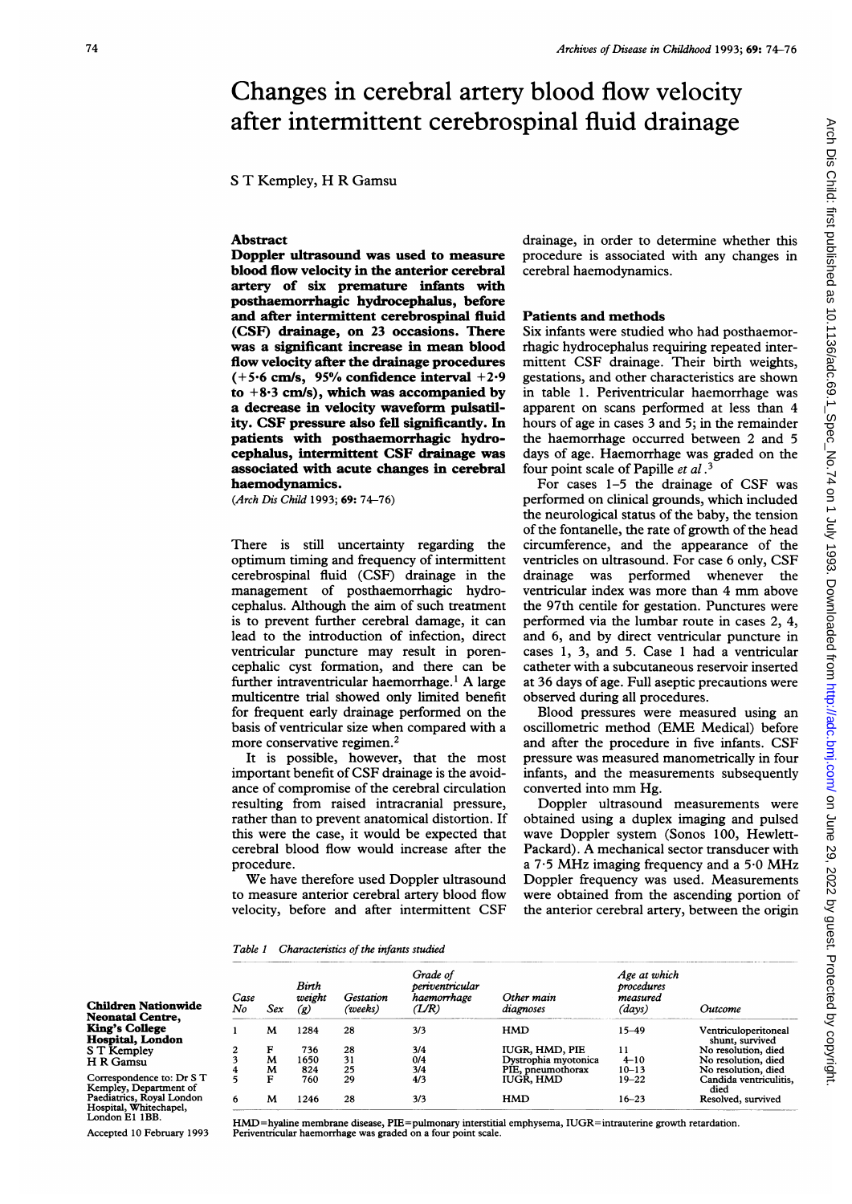# Changes in cerebral artery blood flow velocity after intermittent cerebrospinal fluid drainage

<sup>S</sup> T Kempley, H R Gamsu

## Abstract

Doppler ultrasound was used to measure blood flow velocity in the anterior cerebral artery of six premature infants with posthaemorrhagic hydrocephalus, before and after intermittent cerebrospinal fluid (CSF) drainage, on 23 occasions. There was a significant increase in mean blood flow velocity after the drainage procedures  $(+5.6 \text{ cm/s}, 95%$  confidence interval  $+2.9$ to  $+8.3$  cm/s), which was accompanied by a decrease in velocity waveform pulsatility. CSF pressure also fell significantly. In patients with posthaemorrhagic hydrocephalus, intermittent CSF drainage was associated with acute changes in cerebral haemodynamics.

(Arch Dis Child 1993; 69: 74-76)

There is still uncertainty regarding the optimum timing and frequency of intermittent cerebrospinal fluid (CSF) drainage in the management of posthaemorrhagic hydrocephalus. Although the aim of such treatment is to prevent further cerebral damage, it can lead to the introduction of infection, direct ventricular puncture may result in porencephalic cyst formation, and there can be further intraventricular haemorrhage.<sup>1</sup> A large multicentre trial showed only limited benefit for frequent early drainage performed on the basis of ventricular size when compared with a more conservative regimen.2

It is possible, however, that the most important benefit of CSF drainage is the avoidance of compromise of the cerebral circulation resulting from raised intracranial pressure, rather than to prevent anatomical distortion. If this were the case, it would be expected that cerebral blood flow would increase after the procedure.

We have therefore used Doppler ultrasound to measure anterior cerebral artery blood flow velocity, before and after intermittent CSF

> Grade of periventricular haemorrhage  $(1/R)$ 3/3 3/4 0/4 3/4 4/3

drainage, in order to determine whether this procedure is associated with any changes in cerebral haemodynamics.

#### Patients and methods

Six infants were studied who had posthaemorrhagic hydrocephalus requiring repeated intermittent CSF drainage. Their birth weights, gestations, and other characteristics are shown in table 1. Periventricular haemorrhage was apparent on scans performed at less than 4 hours of age in cases 3 and 5; in the remainder the haemorrhage occurred between 2 and 5 days of age. Haemorrhage was graded on the four point scale of Papille et al.<sup>3</sup>

For cases 1-5 the drainage of CSF was performed on clinical grounds, which included the neurological status of the baby, the tension of the fontanelle, the rate of growth of the head circumference, and the appearance of the ventricles on ultrasound. For case 6 only, CSF drainage was performed whenever the ventricular index was more than <sup>4</sup> mm above the 97th centile for gestation. Punctures were performed via the lumbar route in cases 2, 4, and 6, and by direct ventricular puncture in cases 1, 3, and 5. Case <sup>1</sup> had a ventricular catheter with a subcutaneous reservoir inserted at 36 days of age. Full aseptic precautions were observed during all procedures.

Blood pressures were measured using an oscillometric method (EME Medical) before and after the procedure in five infants. CSF pressure was measured manometrically in four infants, and the measurements subsequently converted into mm Hg.

Doppler ultrasound measurements were obtained using a duplex imaging and pulsed wave Doppler system (Sonos 100, Hewlett-Packard). A mechanical sector transducer with a  $7.5$  MHz imaging frequency and a  $5.0$  MHz Doppler frequency was used. Measurements were obtained from the ascending portion of the anterior cerebral artery, between the origin

> Age at which procedures measured (days) 15-49 11 4-10  $10 - 13$ 19-22

Outcome

Ventriculoperitoneal shunt, survived No resolution, died No resolution, died No resolution, died Candida ventriculitis,

Table 1 Characteristics of the infants studied

Birth  $\begin{array}{ccc} Case & weight & Gestation \\ No & Sex & (p) & (weeks) \end{array}$  $\mathcal{L}(\mathbf{g})$ <sup>1</sup> M <sup>1284</sup> <sup>28</sup>

> 736 28 1650 31 824 25 760 29

F M m<br>M<br>F

Children Nationwide Neonatal Centre, King's College Hospital, London <sup>S</sup> T Kempley H R Gamsu

Correspondence to: Dr <sup>S</sup> T Kempley, Department of Paediatrics, Royal London Hospital, Whitechapel, London El 1BB.

Accepted 10 February 1993

<sup>6</sup> M 1246 28 3/3 HMD 16-23 died Resolved, survived HMD=hyaline membrane disease, PIE=pulmonary interstitial emphysema, IUGR=intrauterine growth retardation.

Periventricular haemorrhage was graded on a four point scale.

Other main diagnoses **HMD** 

IUGR, HMD, PIE Dystrophia myotonica PIE, pneumothorax IUGR, HMD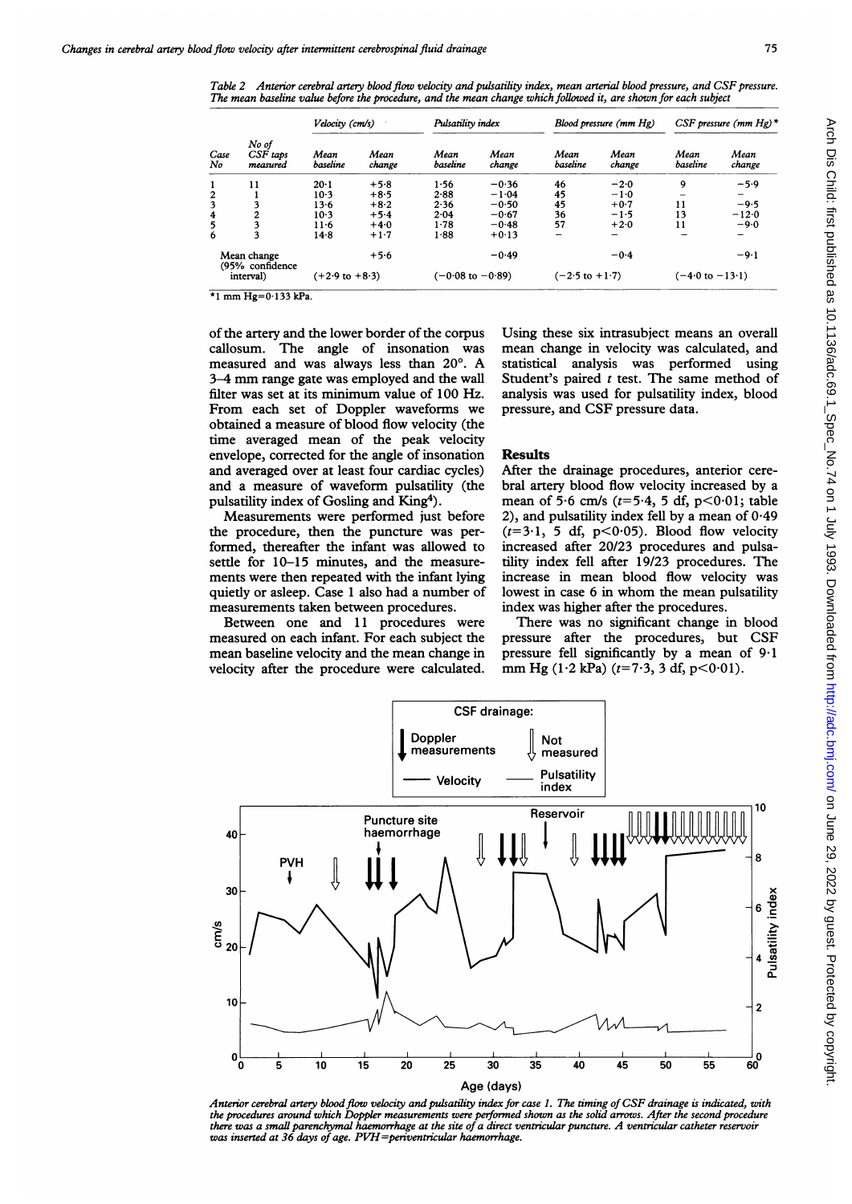The mean baseline value before the procedure, and the mean change which followed it, are shown for each subject Velocity (cm/s) **Pulsatility index** Blood pressure (mm Hg) CSF pressure (mm Hg)  $*$ No of Case CSF taps No measured 1 11  $23456$  $\frac{3}{4}$   $\frac{3}{2}$ 5 3 6 3 Mean Mean<br>baseline change baselin  $20 - 1$ 10-3 13-6 10-3 11-6 14-8  $+5.8$ +8-5 +8-2  $+5.4$  $+4.0$  $+1.7$ Mean Mean Mean Mean Mean Mean baseline change baseline change baseline change  $1 - 56$ 2-88  $2.36$  $2.04$ 1-78 1-88  $-0.36$  $-1.04$  $-0.50$  $-0.67$  $-0.48$  $+0.13$ 46 45 45 36 57  $-2.0$  $-1.0$ +0 7 -1-5  $+2.0$  $9 -5.9$ 11 13 11  $-9.5$  $-12.0$  $-9.0$ 

 $-0.49$ 

 $(-0.08 \text{ to } -0.89)$ 

Table 2 Anterior cerebral artery blood flow velocity and pulsatility index, mean arterial blood pressure, and CSF pressure.

 $\overline{P_1 + 1 + 1 + 1 + 1 + 1 + 1 + 1 + 1 + 1 + 1}$ 

Mean change (95% confidence interval)

of the artery and the lower border of the corpus callosum. The angle of insonation was measured and was always less than 20°. A 3-4 mm range gate was employed and the wall filter was set at its minimum value of 100 Hz. From each set of Doppler waveforms we obtained a measure of blood flow velocity (the time averaged mean of the peak velocity envelope, corrected for the angle of insonation and averaged over at least four cardiac cycles) and a measure of waveform pulsatility (the pulsatility index of Gosling and King4).

 $(+2.9 \text{ to } +8.3)$ 

 $+5.6$ 

Measurements were performed just before the procedure, then the puncture was performed, thereafter the infant was allowed to settle for 10-15 minutes, and the measurements were then repeated with the infant lying quietly or asleep. Case <sup>1</sup> also had a number of measurements taken between procedures.

Between one and 11 procedures were measured on each infant. For each subject the mean baseline velocity and the mean change in velocity after the procedure were calculated.

Using these six intrasubject means an overall mean change in velocity was calculated, and statistical analysis was performed using Student's paired  $t$  test. The same method of analysis was used for pulsatility index, blood pressure, and CSF pressure data.

 $-0.4$ 

 $(-2.5 \text{ to } +1.7)$ 

# **Results**

After the drainage procedures, anterior cerebral artery blood flow velocity increased by a mean of 5.6 cm/s ( $t=5.4$ , 5 df,  $p<0.01$ ; table 2), and pulsatility index fell by a mean of  $0.49$  $(t=3.1, 5 df, p<0.05)$ . Blood flow velocity increased after 20/23 procedures and pulsatility index fell after 19/23 procedures. The increase in mean blood flow velocity was lowest in case <sup>6</sup> in whom the mean pulsatility index was higher after the procedures.

There was no significant change in blood pressure after the procedures, but CSF pressure fell significantly by a mean of  $9.1$ mm Hg (1·2 kPa) ( $t=7.3$ , 3 df,  $p<0.01$ ).



Anterior cerebral artery blood flow velocity and pulsatility index for case 1. The timing of CSF drainage is indicated, with the procedures around which Doppler measurements were performed shown as the solid arrows. After the second procedure<br>there was a small parenchymal haemorrhage at the site of a direct ventricular puncture. A ventricular ca

 $-9.1$ 

 $(-4.0 \text{ to } -13.1)$